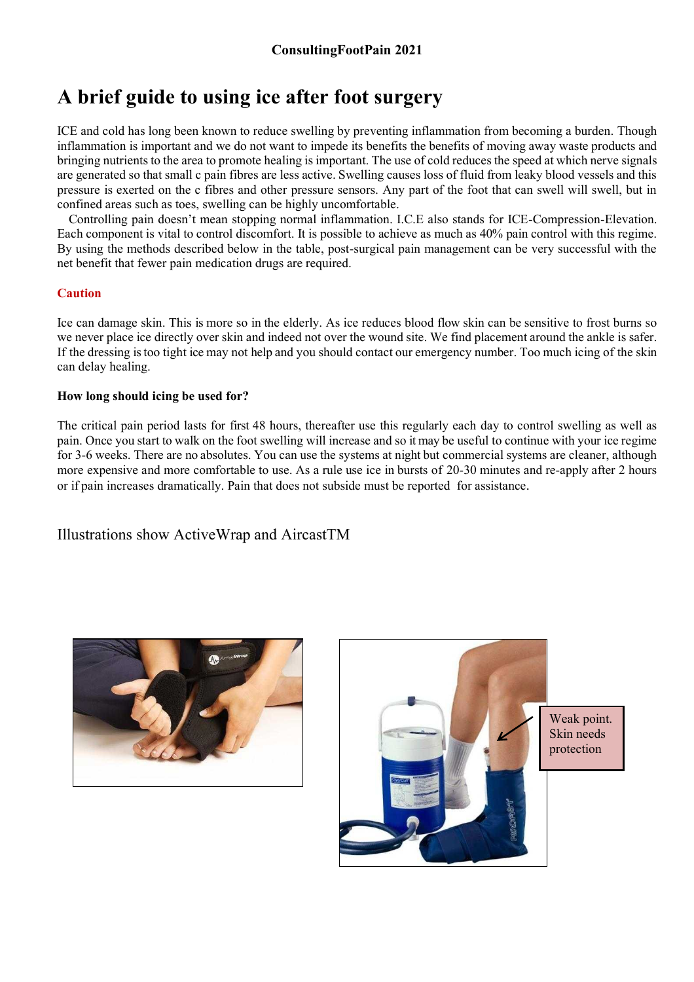## **A brief guide to using ice after foot surgery**

ICE and cold has long been known to reduce swelling by preventing inflammation from becoming a burden. Though inflammation is important and we do not want to impede its benefits the benefits of moving away waste products and bringing nutrients to the area to promote healing is important. The use of cold reduces the speed at which nerve signals are generated so that small c pain fibres are less active. Swelling causes loss of fluid from leaky blood vessels and this pressure is exerted on the c fibres and other pressure sensors. Any part of the foot that can swell will swell, but in confined areas such as toes, swelling can be highly uncomfortable.

Controlling pain doesn't mean stopping normal inflammation. I.C.E also stands for ICE-Compression-Elevation. Each component is vital to control discomfort. It is possible to achieve as much as 40% pain control with this regime. By using the methods described below in the table, post-surgical pain management can be very successful with the net benefit that fewer pain medication drugs are required.

## **Caution**

Ice can damage skin. This is more so in the elderly. As ice reduces blood flow skin can be sensitive to frost burns so we never place ice directly over skin and indeed not over the wound site. We find placement around the ankle is safer. If the dressing is too tight ice may not help and you should contact our emergency number. Too much icing of the skin can delay healing.

## **How long should icing be used for?**

The critical pain period lasts for first 48 hours, thereafter use this regularly each day to control swelling as well as pain. Once you start to walk on the foot swelling will increase and so it may be useful to continue with your ice regime for 3-6 weeks. There are no absolutes. You can use the systems at night but commercial systems are cleaner, although more expensive and more comfortable to use. As a rule use ice in bursts of 20-30 minutes and re-apply after 2 hours or if pain increases dramatically. Pain that does not subside must be reported for assistance.

Illustrations show ActiveWrap and AircastTM